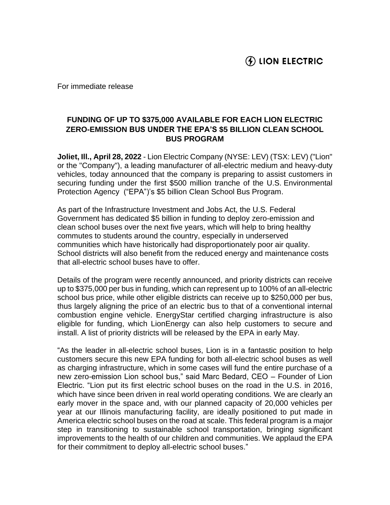For immediate release

## **FUNDING OF UP TO \$375,000 AVAILABLE FOR EACH LION ELECTRIC ZERO-EMISSION BUS UNDER THE EPA'S \$5 BILLION CLEAN SCHOOL BUS PROGRAM**

**Joliet, Ill., April 28, 2022** - Lion Electric Company (NYSE: LEV) (TSX: LEV) ("Lion" or the "Company"), a leading manufacturer of all-electric medium and heavy-duty vehicles, today announced that the company is preparing to assist customers in securing funding under the first \$500 million tranche of the U.S. Environmental Protection Agency ("EPA")'s \$5 billion Clean School Bus Program.

As part of the Infrastructure Investment and Jobs Act, the U.S. Federal Government has dedicated \$5 billion in funding to deploy zero-emission and clean school buses over the next five years, which will help to bring healthy commutes to students around the country, especially in underserved communities which have historically had disproportionately poor air quality. School districts will also benefit from the reduced energy and maintenance costs that all-electric school buses have to offer.

Details of the program were recently announced, and priority districts can receive up to \$375,000 per bus in funding, which can represent up to 100% of an all-electric school bus price, while other eligible districts can receive up to \$250,000 per bus, thus largely aligning the price of an electric bus to that of a conventional internal combustion engine vehicle. EnergyStar certified charging infrastructure is also eligible for funding, which LionEnergy can also help customers to secure and install. A list of priority districts will be released by the EPA in early May.

"As the leader in all-electric school buses, Lion is in a fantastic position to help customers secure this new EPA funding for both all-electric school buses as well as charging infrastructure, which in some cases will fund the entire purchase of a new zero-emission Lion school bus," said Marc Bedard, CEO – Founder of Lion Electric. "Lion put its first electric school buses on the road in the U.S. in 2016, which have since been driven in real world operating conditions. We are clearly an early mover in the space and, with our planned capacity of 20,000 vehicles per year at our Illinois manufacturing facility, are ideally positioned to put made in America electric school buses on the road at scale. This federal program is a major step in transitioning to sustainable school transportation, bringing significant improvements to the health of our children and communities. We applaud the EPA for their commitment to deploy all-electric school buses."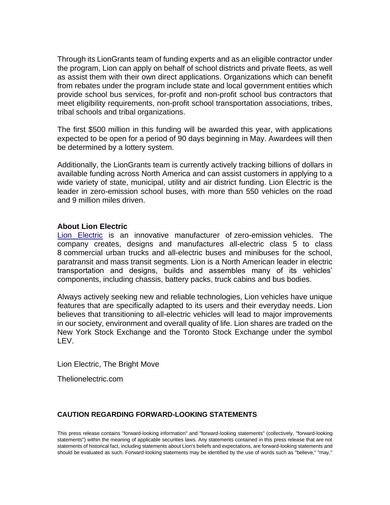Through its LionGrants team of funding experts and as an eligible contractor under the program, Lion can apply on behalf of school districts and private fleets, as well as assist them with their own direct applications. Organizations which can benefit from rebates under the program include state and local government entities which provide school bus services, for-profit and non-profit school bus contractors that meet eligibility requirements, non-profit school transportation associations, tribes, tribal schools and tribal organizations.

The first \$500 million in this funding will be awarded this year, with applications expected to be open for a period of 90 days beginning in May. Awardees will then be determined by a lottery system.

Additionally, the LionGrants team is currently actively tracking billions of dollars in available funding across North America and can assist customers in applying to a wide variety of state, municipal, utility and air district funding. Lion Electric is the leader in zero-emission school buses, with more than 550 vehicles on the road and 9 million miles driven.

## **About Lion Electric**

[Lion Electric](https://thelionelectric.com/) is an innovative manufacturer of zero-emission vehicles. The company creates, designs and manufactures all-electric class 5 to class 8 commercial urban trucks and all-electric buses and minibuses for the school, paratransit and mass transit segments. Lion is a North American leader in electric transportation and designs, builds and assembles many of its vehicles' components, including chassis, battery packs, truck cabins and bus bodies.

Always actively seeking new and reliable technologies, Lion vehicles have unique features that are specifically adapted to its users and their everyday needs. Lion believes that transitioning to all-electric vehicles will lead to major improvements in our society, environment and overall quality of life. Lion shares are traded on the New York Stock Exchange and the Toronto Stock Exchange under the symbol LEV.

Lion Electric, The Bright Move

Thelionelectric.com

## **CAUTION REGARDING FORWARD-LOOKING STATEMENTS**

This press release contains "forward-looking information" and "forward-looking statements" (collectively, "forward-looking statements") within the meaning of applicable securities laws. Any statements contained in this press release that are not statements of historical fact, including statements about Lion's beliefs and expectations, are forward-looking statements and should be evaluated as such. Forward-looking statements may be identified by the use of words such as "believe," "may,"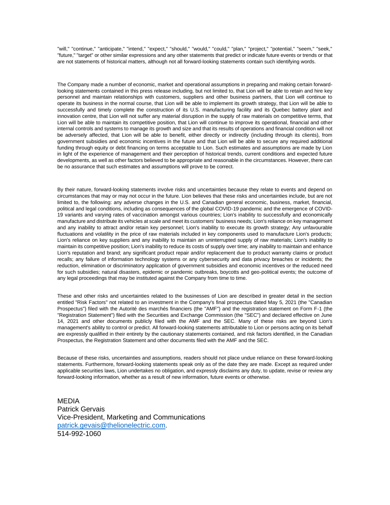"will," "continue," "anticipate," "intend," "expect," "should," "would," "could," "plan," "project," "potential," "seem," "seek," "future," "target" or other similar expressions and any other statements that predict or indicate future events or trends or that are not statements of historical matters, although not all forward-looking statements contain such identifying words.

The Company made a number of economic, market and operational assumptions in preparing and making certain forwardlooking statements contained in this press release including, but not limited to, that Lion will be able to retain and hire key personnel and maintain relationships with customers, suppliers and other business partners, that Lion will continue to operate its business in the normal course, that Lion will be able to implement its growth strategy, that Lion will be able to successfully and timely complete the construction of its U.S. manufacturing facility and its Quebec battery plant and innovation centre, that Lion will not suffer any material disruption in the supply of raw materials on competitive terms, that Lion will be able to maintain its competitive position, that Lion will continue to improve its operational, financial and other internal controls and systems to manage its growth and size and that its results of operations and financial condition will not be adversely affected, that Lion will be able to benefit, either directly or indirectly (including through its clients), from government subsidies and economic incentives in the future and that Lion will be able to secure any required additional funding through equity or debt financing on terms acceptable to Lion. Such estimates and assumptions are made by Lion in light of the experience of management and their perception of historical trends, current conditions and expected future developments, as well as other factors believed to be appropriate and reasonable in the circumstances. However, there can be no assurance that such estimates and assumptions will prove to be correct.

By their nature, forward-looking statements involve risks and uncertainties because they relate to events and depend on circumstances that may or may not occur in the future. Lion believes that these risks and uncertainties include, but are not limited to, the following: any adverse changes in the U.S. and Canadian general economic, business, market, financial, political and legal conditions, including as consequences of the global COVID-19 pandemic and the emergence of COVID-19 variants and varying rates of vaccination amongst various countries; Lion's inability to successfully and economically manufacture and distribute its vehicles at scale and meet its customers' business needs; Lion's reliance on key management and any inability to attract and/or retain key personnel; Lion's inability to execute its growth strategy; Any unfavourable fluctuations and volatility in the price of raw materials included in key components used to manufacture Lion's products; Lion's reliance on key suppliers and any inability to maintain an uninterrupted supply of raw materials; Lion's inability to maintain its competitive position; Lion's inability to reduce its costs of supply over time; any inability to maintain and enhance Lion's reputation and brand; any significant product repair and/or replacement due to product warranty claims or product recalls; any failure of information technology systems or any cybersecurity and data privacy breaches or incidents; the reduction, elimination or discriminatory application of government subsidies and economic incentives or the reduced need for such subsidies; natural disasters, epidemic or pandemic outbreaks, boycotts and geo-political events; the outcome of any legal proceedings that may be instituted against the Company from time to time.

These and other risks and uncertainties related to the businesses of Lion are described in greater detail in the section entitled "Risk Factors" not related to an investment in the Company's final prospectus dated May 5, 2021 (the "Canadian Prospectus") filed with the Autorité des marchés financiers (the "AMF") and the registration statement on Form F-1 (the "Registration Statement") filed with the Securities and Exchange Commission (the "SEC") and declared effective on June 14, 2021 and other documents publicly filed with the AMF and the SEC. Many of these risks are beyond Lion's management's ability to control or predict. All forward-looking statements attributable to Lion or persons acting on its behalf are expressly qualified in their entirety by the cautionary statements contained, and risk factors identified, in the Canadian Prospectus, the Registration Statement and other documents filed with the AMF and the SEC.

Because of these risks, uncertainties and assumptions, readers should not place undue reliance on these forward-looking statements. Furthermore, forward-looking statements speak only as of the date they are made. Except as required under applicable securities laws, Lion undertakes no obligation, and expressly disclaims any duty, to update, revise or review any forward-looking information, whether as a result of new information, future events or otherwise.

MEDIA Patrick Gervais Vice-President, Marketing and Communications [patrick.gevais@thelionelectric.com](mailto:patrick.gevais@thelionelectric.com). 514-992-1060